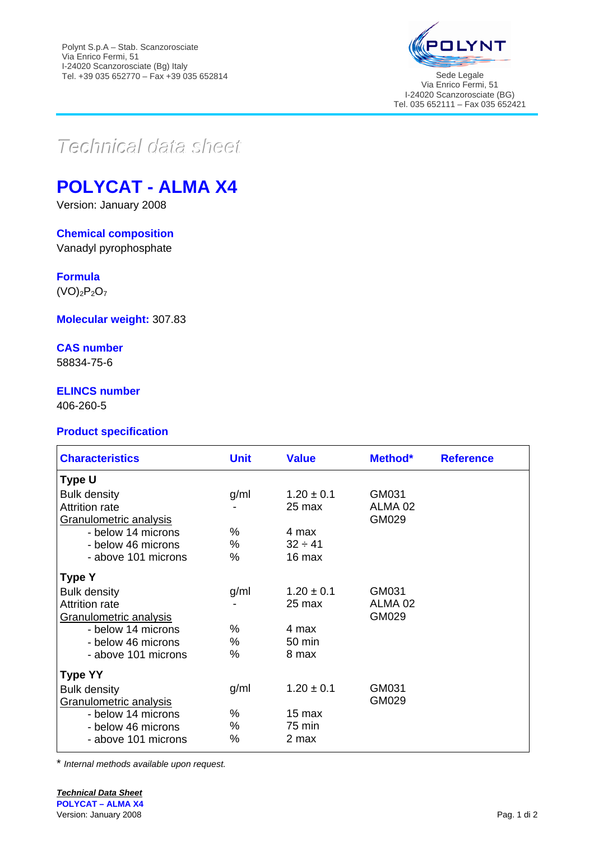

Via Enrico Fermi, 51 I-24020 Scanzorosciate (BG) Tel. 035 652111 – Fax 035 652421

# $Teclnica$ *data* sheet

# **POLYCAT - ALMA X4**

Version: January 2008

## **Chemical composition**

Vanadyl pyrophosphate

**Formula**

 $(VO)_2P_2O_7$ 

**Molecular weight:** 307.83

### **CAS number**

58834-75-6

# **ELINCS number**

406-260-5

### **Product specification**

| <b>Characteristics</b>                                                 | <b>Unit</b> | <b>Value</b>                    | Method*                              | <b>Reference</b> |
|------------------------------------------------------------------------|-------------|---------------------------------|--------------------------------------|------------------|
| Type U                                                                 |             |                                 |                                      |                  |
| <b>Bulk density</b><br><b>Attrition rate</b><br>Granulometric analysis | g/ml        | $1.20 \pm 0.1$<br>25 max        | GM031<br>ALMA <sub>02</sub><br>GM029 |                  |
| - below 14 microns<br>- below 46 microns<br>- above 101 microns        | %<br>%<br>% | 4 max<br>$32 \div 41$<br>16 max |                                      |                  |
| <b>Type Y</b>                                                          |             |                                 |                                      |                  |
| <b>Bulk density</b><br><b>Attrition rate</b><br>Granulometric analysis | g/ml        | $1.20 \pm 0.1$<br>25 max        | GM031<br>ALMA <sub>02</sub><br>GM029 |                  |
| - below 14 microns<br>- below 46 microns<br>- above 101 microns        | %<br>%<br>% | 4 max<br>50 min<br>8 max        |                                      |                  |
| <b>Type YY</b>                                                         |             |                                 |                                      |                  |
| <b>Bulk density</b><br>Granulometric analysis                          | g/ml        | $1.20 \pm 0.1$                  | GM031<br>GM029                       |                  |
| - below 14 microns<br>- below 46 microns<br>- above 101 microns        | %<br>%<br>% | 15 max<br>75 min<br>2 max       |                                      |                  |

\* *Internal methods available upon request.*